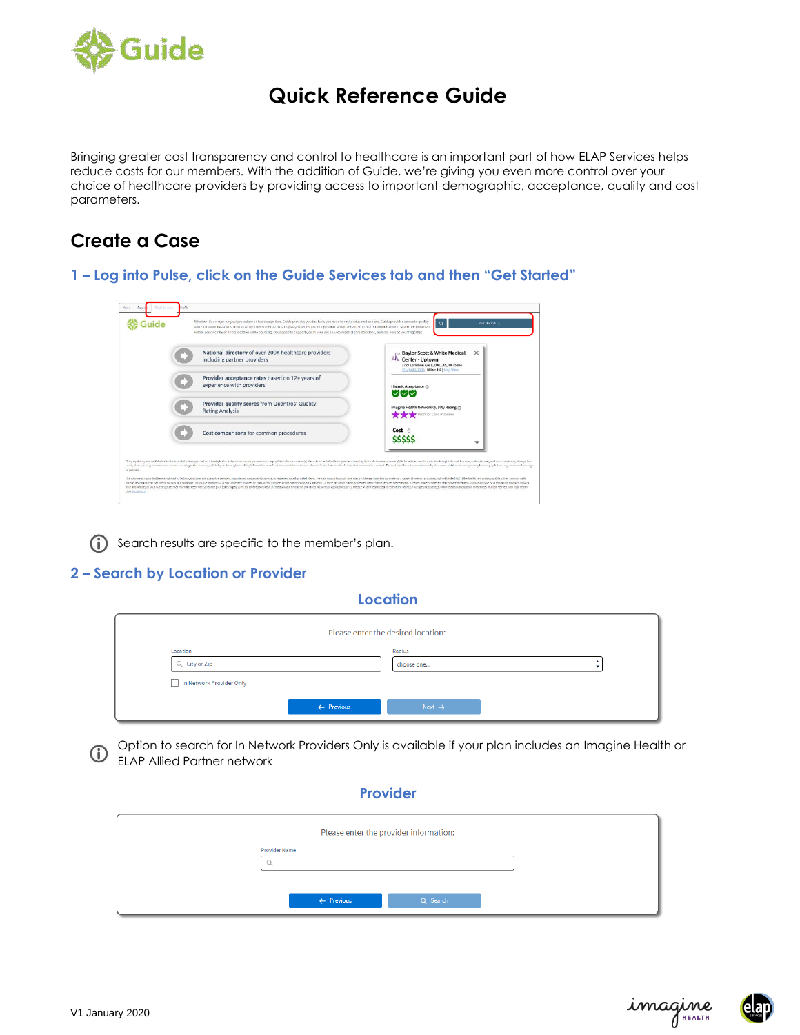

# **Quick Reference Guide**

Bringing greater cost transparency and control to healthcare is an important part of how ELAP Services helps reduce costs for our members. With the addition of Guide, we're giving you even more control over your choice of healthcare providers by providing access to important demographic, acceptance, quality and cost parameters.

# **Create a Case**

**1 – Log into Pulse, click on the Guide Services tab and then "Get Started"**

| National directory of over 200K healthcare providers<br>including partner providers | ×<br><b>Baylor Scott &amp; White Medical</b><br>ih Center - Uptown<br>2727 Lemmon Ave E, DALLAS, TX 75204<br>(214) 443-3000 Miles: 1.8   Map View |
|-------------------------------------------------------------------------------------|---------------------------------------------------------------------------------------------------------------------------------------------------|
| Provider acceptance rates based on 12+ years of<br>experience with providers        | Historic Acceptance @                                                                                                                             |
| Provider quality scores from Quantros' Quality<br><b>Rating Analysis</b>            | Imagine Health Network Quality Rating @<br>Premier Care Provider                                                                                  |
| Cost comparisons for common procedures                                              | $Cost \, \subset$                                                                                                                                 |

(i) Search results are specific to the member's plan.

### **2 – Search by Location or Provider**

| --------                           |                       |                    |  |
|------------------------------------|-----------------------|--------------------|--|
| Please enter the desired location: |                       |                    |  |
| Location                           |                       | Radius             |  |
| Q City or Zip                      |                       | choose one         |  |
| In Network Provider Only           |                       |                    |  |
|                                    | $\leftarrow$ Previous | Next $\rightarrow$ |  |

**Location**

Option to search for In Network Providers Only is available if your plan includes an Imagine Health or G) ELAP Allied Partner network

#### **Provider**

|                       | Please enter the provider information: |  |
|-----------------------|----------------------------------------|--|
| <b>Provider Name</b>  |                                        |  |
| $\leftarrow$ Previous | Q Search                               |  |



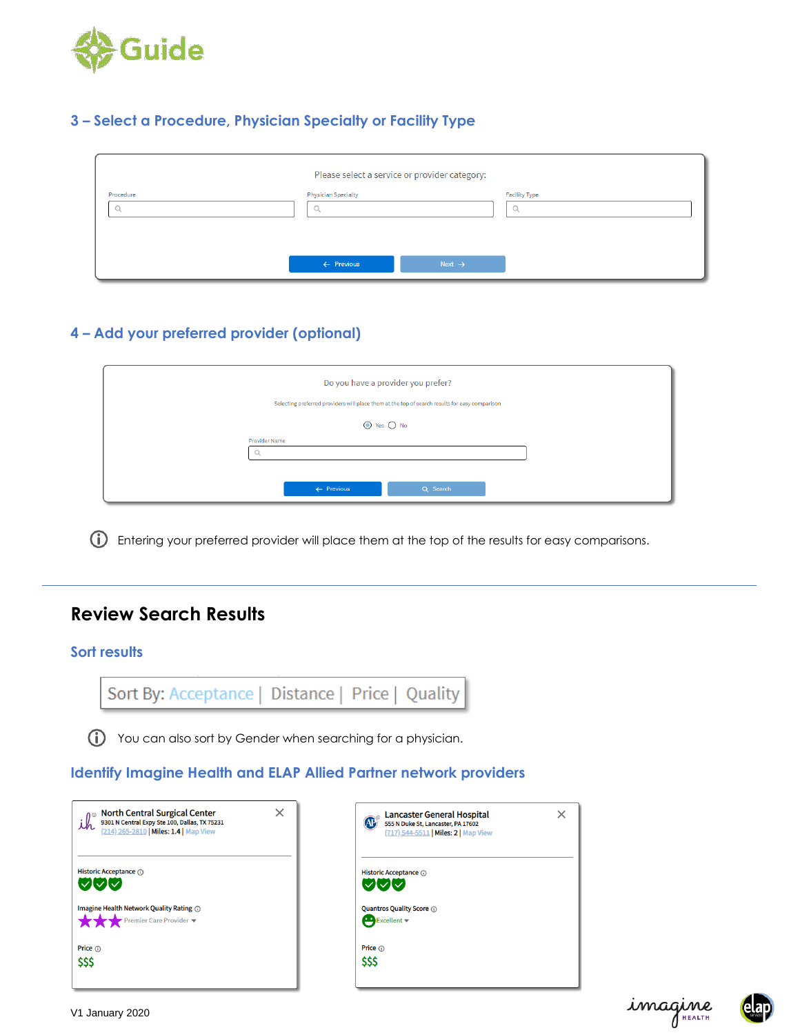

# **3 – Select a Procedure, Physician Specialty or Facility Type**

|                |                                 | Please select a service or provider category: |                           |
|----------------|---------------------------------|-----------------------------------------------|---------------------------|
| Procedure<br>ч | <b>Physician Specialty</b><br>◡ |                                               | <b>Facility Type</b><br>◡ |
|                | $\leftarrow$ Previous           | Next $\rightarrow$                            |                           |

# **4 – Add your preferred provider (optional)**

| Do you have a provider you prefer?                                                             |  |
|------------------------------------------------------------------------------------------------|--|
| Selecting preferred providers will place them at the top of search results for easy comparison |  |
| $\bigcirc$ Yes $\bigcirc$ No                                                                   |  |
| <b>Provider Name</b><br>u                                                                      |  |
| $\leftarrow$ Previous<br>Q Search                                                              |  |

Entering your preferred provider will place them at the top of the results for easy comparisons.

# **Review Search Results**

#### **Sort results**

You can also sort by Gender when searching for a physician.

# **Identify Imagine Health and ELAP Allied Partner network providers**

| ×                                             | <b>Lancaster General Hospital</b>    |
|-----------------------------------------------|--------------------------------------|
| <b>North Central Surgical Center</b>          | <b>AP</b>                            |
| 9301 N Central Expy Ste 100, Dallas, TX 75231 | 555 N Duke St, Lancaster, PA 17602   |
| (214) 265-2810   Miles: 1.4   Map View        | (717) 544-5511   Miles: 2   Map View |
| Historic Acceptance (i)                       | Historic Acceptance @                |
| $\sqrt{2}$                                    | $\sqrt{2V}$                          |
| Imagine Health Network Quality Rating @       | <b>Quantros Quality Score @</b>      |
| Premier Care Provider ▼                       | Excelent                             |
| Price (i)                                     | Price $(i)$                          |
| \$\$\$                                        | \$\$\$                               |
|                                               |                                      |



 $\times$